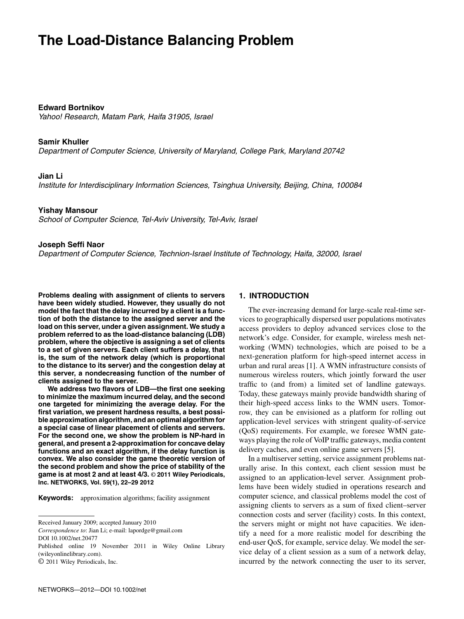# **The Load-Distance Balancing Problem**

## **Edward Bortnikov**

Yahoo! Research, Matam Park, Haifa 31905, Israel

#### **Samir Khuller**

Department of Computer Science, University of Maryland, College Park, Maryland 20742

# **Jian Li**

Institute for Interdisciplinary Information Sciences, Tsinghua University, Beijing, China, 100084

#### **Yishay Mansour**

School of Computer Science, Tel-Aviv University, Tel-Aviv, Israel

## **Joseph Seffi Naor**

Department of Computer Science, Technion-Israel Institute of Technology, Haifa, 32000, Israel

**Problems dealing with assignment of clients to servers have been widely studied. However, they usually do not model the fact that the delay incurred by a client is a function of both the distance to the assigned server and the load on this server, under a given assignment. We study a problem referred to as the load-distance balancing (LDB) problem, where the objective is assigning a set of clients to a set of given servers. Each client suffers a delay, that is, the sum of the network delay (which is proportional to the distance to its server) and the congestion delay at this server, a nondecreasing function of the number of clients assigned to the server.**

**We address two flavors of LDB—the first one seeking to minimize the maximum incurred delay, and the second one targeted for minimizing the average delay. For the first variation, we present hardness results, a best possible approximation algorithm, and an optimal algorithm for a special case of linear placement of clients and servers. For the second one, we show the problem is NP-hard in general, and present a 2-approximation for concave delay functions and an exact algorithm, if the delay function is convex. We also consider the game theoretic version of the second problem and show the price of stability of the game is at most 2 and at least 4/3. © 2011 Wiley Periodicals, Inc. NETWORKS, Vol. 59(1), 22–29 2012**

**Keywords:** approximation algorithms; facility assignment

*Correspondence to*: Jian Li; e-mail: lapordge@gmail.com DOI 10.1002/net.20477

#### **1. INTRODUCTION**

The ever-increasing demand for large-scale real-time services to geographically dispersed user populations motivates access providers to deploy advanced services close to the network's edge. Consider, for example, wireless mesh networking (WMN) technologies, which are poised to be a next-generation platform for high-speed internet access in urban and rural areas [1]. A WMN infrastructure consists of numerous wireless routers, which jointly forward the user traffic to (and from) a limited set of landline gateways. Today, these gateways mainly provide bandwidth sharing of their high-speed access links to the WMN users. Tomorrow, they can be envisioned as a platform for rolling out application-level services with stringent quality-of-service (QoS) requirements. For example, we foresee WMN gateways playing the role of VoIP traffic gateways, media content delivery caches, and even online game servers [5].

In a multiserver setting, service assignment problems naturally arise. In this context, each client session must be assigned to an application-level server. Assignment problems have been widely studied in operations research and computer science, and classical problems model the cost of assigning clients to servers as a sum of fixed client–server connection costs and server (facility) costs. In this context, the servers might or might not have capacities. We identify a need for a more realistic model for describing the end-user QoS, for example, service delay. We model the service delay of a client session as a sum of a network delay, incurred by the network connecting the user to its server,

Received January 2009; accepted January 2010

Published online 19 November 2011 in Wiley Online Library (wileyonlinelibrary.com).

<sup>©</sup> 2011 Wiley Periodicals, Inc.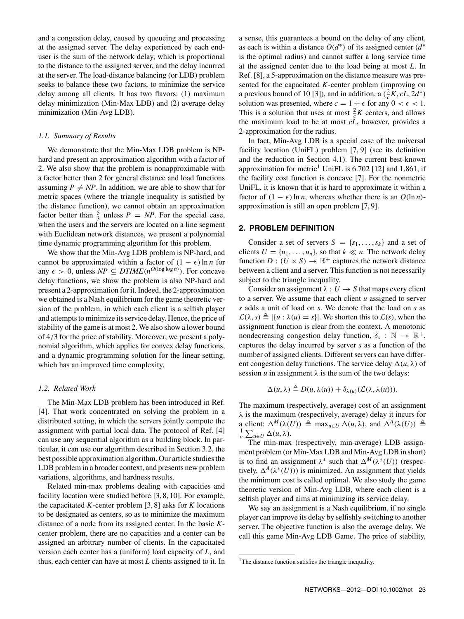and a congestion delay, caused by queueing and processing at the assigned server. The delay experienced by each enduser is the sum of the network delay, which is proportional to the distance to the assigned server, and the delay incurred at the server. The load-distance balancing (or LDB) problem seeks to balance these two factors, to minimize the service delay among all clients. It has two flavors: (1) maximum delay minimization (Min-Max LDB) and (2) average delay minimization (Min-Avg LDB).

#### *1.1. Summary of Results*

We demonstrate that the Min-Max LDB problem is NPhard and present an approximation algorithm with a factor of 2. We also show that the problem is nonapproximable with a factor better than 2 for general distance and load functions assuming  $P \neq NP$ . In addition, we are able to show that for metric spaces (where the triangle inequality is satisfied by the distance function), we cannot obtain an approximation factor better than  $\frac{5}{3}$  unless  $P = NP$ . For the special case, when the users and the servers are located on a line segment with Euclidean network distances, we present a polynomial time dynamic programming algorithm for this problem.

We show that the Min-Avg LDB problem is NP-hard, and cannot be approximated within a factor of  $(1 - \epsilon) \ln n$  for any  $\epsilon > 0$ , unless  $NP \subseteq DTIME(n^{O(\log \log n)})$ . For concave delay functions, we show the problem is also NP-hard and present a 2-approximation for it. Indeed, the 2-approximation we obtained is a Nash equilibrium for the game theoretic version of the problem, in which each client is a selfish player and attempts to minimize its service delay. Hence, the price of stability of the game is at most 2. We also show a lower bound of 4/3 for the price of stability. Moreover, we present a polynomial algorithm, which applies for convex delay functions, and a dynamic programming solution for the linear setting, which has an improved time complexity.

#### *1.2. Related Work*

The Min-Max LDB problem has been introduced in Ref. [4]. That work concentrated on solving the problem in a distributed setting, in which the servers jointly compute the assignment with partial local data. The protocol of Ref. [4] can use any sequential algorithm as a building block. In particular, it can use our algorithm described in Section 3.2, the best possible approximation algorithm. Our article studies the LDB problem in a broader context, and presents new problem variations, algorithms, and hardness results.

Related min-max problems dealing with capacities and facility location were studied before [3, 8, 10]. For example, the capacitated *K*-center problem [3, 8] asks for *K* locations to be designated as centers, so as to minimize the maximum distance of a node from its assigned center. In the basic *K*center problem, there are no capacities and a center can be assigned an arbitrary number of clients. In the capacitated version each center has a (uniform) load capacity of *L*, and thus, each center can have at most *L* clients assigned to it. In a sense, this guarantees a bound on the delay of any client, as each is within a distance  $O(d^*)$  of its assigned center  $(d^*)$ is the optimal radius) and cannot suffer a long service time at the assigned center due to the load being at most *L*. In Ref. [8], a 5-approximation on the distance measure was presented for the capacitated *K*-center problem (improving on a previous bound of 10 [3]), and in addition, a  $(\frac{2}{c}K, cL, 2d^*)$ solution was presented, where  $c = 1 + \epsilon$  for any  $0 < \epsilon < 1$ . This is a solution that uses at most  $\frac{2}{c}K$  centers, and allows the maximum load to be at most *cL*, however, provides a 2-approximation for the radius.

In fact, Min-Avg LDB is a special case of the universal facility location (UniFL) problem [7, 9] (see its definition and the reduction in Section 4.1). The current best-known approximation for metric<sup>1</sup> UniFL is 6.702 [12] and 1.861, if the facility cost function is concave [7]. For the nonmetric UniFL, it is known that it is hard to approximate it within a factor of  $(1 - \epsilon) \ln n$ , whereas whether there is an  $O(\ln n)$ approximation is still an open problem [7, 9].

## **2. PROBLEM DEFINITION**

Consider a set of servers  $S = \{s_1, \ldots, s_k\}$  and a set of clients  $U = \{u_1, \ldots, u_n\}$ , so that  $k \ll n$ . The network delay function  $D: (U \times S) \to \mathbb{R}^+$  captures the network distance between a client and a server. This function is not necessarily subject to the triangle inequality.

Consider an assignment  $\lambda : U \to S$  that maps every client to a server. We assume that each client *u* assigned to server *s* adds a unit of load on *s*. We denote that the load on *s* as  $\mathcal{L}(\lambda, s) \triangleq |\{u : \lambda(u) = s\}|$ . We shorten this to  $\mathcal{L}(s)$ , when the assignment function is clear from the context. A monotonic nondecreasing congestion delay function,  $\delta_s : \mathbb{N} \to \mathbb{R}^+$ , captures the delay incurred by server *s* as a function of the number of assigned clients. Different servers can have different congestion delay functions. The service delay  $\Delta(u, \lambda)$  of session  $u$  in assignment  $\lambda$  is the sum of the two delays:

$$
\Delta(u,\lambda) \triangleq D(u,\lambda(u)) + \delta_{\lambda(u)}(\mathcal{L}(\lambda,\lambda(u))).
$$

The maximum (respectively, average) cost of an assignment  $\lambda$  is the maximum (respectively, average) delay it incurs for a client:  $\Delta^M(\lambda(U)) \triangleq \max_{u \in U} \Delta(u, \lambda)$ , and  $\Delta^A(\lambda(U)) \triangleq$  $\frac{1}{n} \sum_{u \in U} \Delta(u, \lambda).$ 

The min-max (respectively, min-average) LDB assignment problem (or Min-Max LDB and Min-Avg LDB in short) is to find an assignment  $\lambda^*$  such that  $\Delta^M(\lambda^*(U))$  (respectively,  $\Delta^{A}(\lambda^*(U))$  is minimized. An assignment that yields the minimum cost is called optimal. We also study the game theoretic version of Min-Avg LDB, where each client is a selfish player and aims at minimizing its service delay.

We say an assignment is a Nash equilibrium, if no single player can improve its delay by selfishly switching to another server. The objective function is also the average delay. We call this game Min-Avg LDB Game. The price of stability,

<sup>&</sup>lt;sup>1</sup>The distance function satisfies the triangle inequality.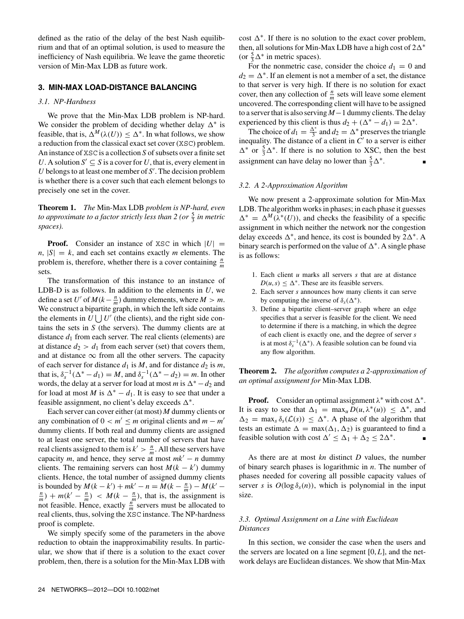defined as the ratio of the delay of the best Nash equilibrium and that of an optimal solution, is used to measure the inefficiency of Nash equilibria. We leave the game theoretic version of Min-Max LDB as future work.

# **3. MIN-MAX LOAD-DISTANCE BALANCING**

#### *3.1. NP-Hardness*

We prove that the Min-Max LDB problem is NP-hard. We consider the problem of deciding whether delay  $\Delta^*$  is feasible, that is,  $\Delta^M(\lambda(U)) \leq \Delta^*$ . In what follows, we show a reduction from the classical exact set cover (XSC) problem. An instance of XSC is a collection *S* of subsets over a finite set *U*. A solution  $S' \subseteq S$  is a cover for *U*, that is, every element in *U* belongs to at least one member of *S* . The decision problem is whether there is a cover such that each element belongs to precisely one set in the cover.

**Theorem 1.** *The* Min-Max LDB *problem is NP-hard, even to approximate to a factor strictly less than 2 (or* <sup>5</sup> <sup>3</sup> *in metric spaces).*

**Proof.** Consider an instance of XSC in which  $|U|$  =  $n, |S| = k$ , and each set contains exactly *m* elements. The problem is, therefore, whether there is a cover containing  $\frac{n}{m}$ sets.

The transformation of this instance to an instance of LDB-D is as follows. In addition to the elements in *U*, we define a set *U'* of  $M(k - \frac{n}{m})$  dummy elements, where  $M > m$ . We construct a bipartite graph, in which the left side contains the elements in  $U \bigcup U'$  (the clients), and the right side contains the sets in *S* (the servers). The dummy clients are at distance  $d_1$  from each server. The real clients (elements) are at distance  $d_2 > d_1$  from each server (set) that covers them, and at distance  $\infty$  from all the other servers. The capacity of each server for distance  $d_1$  is  $M$ , and for distance  $d_2$  is  $m$ , that is,  $\delta_s^{-1}(\Delta^* - d_1) = M$ , and  $\delta_s^{-1}(\Delta^* - d_2) = m$ . In other words, the delay at a server for load at most *m* is  $\Delta^* - d_2$  and for load at most *M* is  $\Delta^* - d_1$ . It is easy to see that under a feasible assignment, no client's delay exceeds  $\Delta^*$ .

Each server can cover either (at most) *M* dummy clients or any combination of  $0 < m' \le m$  original clients and  $m - m'$ dummy clients. If both real and dummy clients are assigned to at least one server, the total number of servers that have real clients assigned to them is  $k' > \frac{n}{m}$ . All these servers have capacity *m*, and hence, they serve at most  $mk' - n$  dummy clients. The remaining servers can host  $M(k - k')$  dummy clients. Hence, the total number of assigned dummy clients is bounded by  $M(k - k') + mk' - n = M(k - \frac{n}{m}) - M(k' - \frac{n}{m}) + m(k' - \frac{n}{m}) \geq M(k - \frac{n}{m})$ , that is the assignment is  $\frac{m}{m}$ ) +  $m(k' - \frac{n}{m})$  <  $M(k - \frac{n}{m})$ , that is, the assignment is mot feasible. Hence, exactly  $\frac{n}{m}$  servers must be allocated to real clients, thus, solving the XSC instance. The NP-hardness proof is complete.

We simply specify some of the parameters in the above reduction to obtain the inapproximability results. In particular, we show that if there is a solution to the exact cover problem, then, there is a solution for the Min-Max LDB with cost  $\Delta^*$ . If there is no solution to the exact cover problem, then, all solutions for Min-Max LDB have a high cost of  $2\Delta^*$ (or  $\frac{5}{3}\Delta^*$  in metric spaces).

For the nonmetric case, consider the choice  $d_1 = 0$  and  $d_2 = \Delta^*$ . If an element is not a member of a set, the distance to that server is very high. If there is no solution for exact cover, then any collection of  $\frac{n}{m}$  sets will leave some element uncovered. The corresponding client will have to be assigned to a server that is also serving *M*−1 dummy clients. The delay experienced by this client is thus  $d_2 + (\Delta^* - d_1) = 2\Delta^*$ .

The choice of  $d_1 = \frac{\Delta^*}{3}$  and  $d_2 = \Delta^*$  preserves the triangle inequality. The distance of a client in  $C'$  to a server is either  $\Delta^*$  or  $\frac{5}{3}\Delta^*$ . If there is no solution to XSC, then the best assignment can have delay no lower than  $\frac{5}{3}\Delta^*$ .

### *3.2. A 2-Approximation Algorithm*

We now present a 2-approximate solution for Min-Max LDB. The algorithm works in phases; in each phase it guesses  $\Delta^* = \Delta^M(\lambda^*(U))$ , and checks the feasibility of a specific assignment in which neither the network nor the congestion delay exceeds  $\Delta^*$ , and hence, its cost is bounded by 2 $\Delta^*$ . A binary search is performed on the value of  $\Delta^*$ . A single phase is as follows:

- 1. Each client *u* marks all servers *s* that are at distance  $D(u, s) \leq \Delta^*$ . These are its feasible servers.
- 2. Each server *s* announces how many clients it can serve by computing the inverse of  $\delta_s(\Delta^*)$ .
- 3. Define a bipartite client–server graph where an edge specifies that a server is feasible for the client. We need to determine if there is a matching, in which the degree of each client is exactly one, and the degree of server *s* is at most  $\delta_s^{-1}(\Delta^*)$ . A feasible solution can be found via any flow algorithm.

**Theorem 2.** *The algorithm computes a 2-approximation of an optimal assignment for* Min-Max LDB*.*

**Proof.** Consider an optimal assignment  $\lambda^*$  with cost  $\Delta^*$ . It is easy to see that  $\Delta_1 = \max_u D(u, \lambda^*(u)) \leq \Delta^*$ , and  $\Delta_2$  = max<sub>*s*</sub>  $\delta_s(\mathcal{L}(s)) \leq \Delta^*$ . A phase of the algorithm that tests an estimate  $\Delta = \max(\Delta_1, \Delta_2)$  is guaranteed to find a feasible solution with cost  $\Delta' \leq \Delta_1 + \Delta_2 \leq 2\Delta^*$ .

As there are at most *kn* distinct *D* values, the number of binary search phases is logarithmic in *n*. The number of phases needed for covering all possible capacity values of server *s* is  $O(\log \delta_s(n))$ , which is polynomial in the input size.

## *3.3. Optimal Assignment on a Line with Euclidean Distances*

In this section, we consider the case when the users and the servers are located on a line segment [0, *L*], and the network delays are Euclidean distances. We show that Min-Max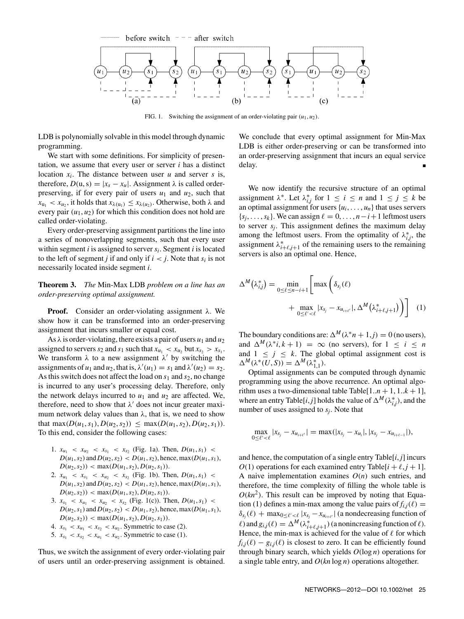

FIG. 1. Switching the assignment of an order-violating pair  $(u_1, u_2)$ .

LDB is polynomially solvable in this model through dynamic programming.

We start with some definitions. For simplicity of presentation, we assume that every user or server *i* has a distinct location  $x_i$ . The distance between user  $u$  and server  $s$  is, therefore,  $D(u, s) = |x_s - x_u|$ . Assignment  $\lambda$  is called orderpreserving, if for every pair of users  $u_1$  and  $u_2$ , such that  $x_{u_1} < x_{u_2}$ , it holds that  $x_{\lambda(u_1)} \leq x_{\lambda(u_2)}$ . Otherwise, both  $\lambda$  and every pair  $(u_1, u_2)$  for which this condition does not hold are called order-violating.

Every order-preserving assignment partitions the line into a series of nonoverlapping segments, such that every user within segment *i* is assigned to server *si*. Segment *i* is located to the left of segment *j* if and only if  $i < j$ . Note that  $s_i$  is not necessarily located inside segment *i*.

**Theorem 3.** *The* Min-Max LDB *problem on a line has an order-preserving optimal assignment.*

**Proof.** Consider an order-violating assignment λ. We show how it can be transformed into an order-preserving assignment that incurs smaller or equal cost.

As  $\lambda$  is order-violating, there exists a pair of users  $u_1$  and  $u_2$ assigned to servers  $s_2$  and  $s_1$  such that  $x_{u_1} < x_{u_2}$  but  $x_{s_2} > x_{s_1}$ . We transform  $\lambda$  to a new assignment  $\lambda'$  by switching the assignments of  $u_1$  and  $u_2$ , that is,  $\lambda'(u_1) = s_1$  and  $\lambda'(u_2) = s_2$ . As this switch does not affect the load on *s*<sup>1</sup> and *s*2, no change is incurred to any user's processing delay. Therefore, only the network delays incurred to  $u_1$  and  $u_2$  are affected. We, therefore, need to show that  $\lambda'$  does not incur greater maximum network delay values than  $\lambda$ , that is, we need to show that max( $D(u_1, s_1), D(u_2, s_2)$ )  $\leq$  max( $D(u_1, s_2), D(u_2, s_1)$ ). To this end, consider the following cases:

- 1.  $x_{u_1} < x_{u_2} < x_{s_1} < x_{s_2}$  (Fig. 1a). Then,  $D(u_1, s_1) <$  $D(u_1, s_2)$  and  $D(u_2, s_2)$  <  $D(u_1, s_2)$ , hence, max( $D(u_1, s_1)$ ,  $D(u_2, s_2)$  < max( $D(u_1, s_2)$ ,  $D(u_2, s_1)$ ).
- 2.  $x_{u_1} < x_{s_1} < x_{u_2} < x_{s_2}$  (Fig. 1b). Then,  $D(u_1, s_1)$  $D(u_1, s_2)$  and  $D(u_2, s_2) < D(u_1, s_2)$ , hence, max( $D(u_1, s_1)$ ,  $D(u_2, s_2)$  < max( $D(u_1, s_2)$ ,  $D(u_2, s_1)$ ).
- 3.  $x_{s_1} < x_{u_1} < x_{u_2} < x_{s_2}$  (Fig. 1(c)). Then,  $D(u_1, s_1)$  $D(u_2, s_1)$  and  $D(u_2, s_2)$  <  $D(u_1, s_2)$ , hence, max( $D(u_1, s_1)$ ,  $D(u_2, s_2)$  < max( $D(u_1, s_2)$ ,  $D(u_2, s_1)$ ).
- 4.  $x_{s_1} < x_{u_1} < x_{s_2} < x_{u_2}$ . Symmetric to case (2).
- 5.  $x_{s_1} < x_{s_2} < x_{u_1} < x_{u_2}$ . Symmetric to case (1).

Thus, we switch the assignment of every order-violating pair of users until an order-preserving assignment is obtained.

We conclude that every optimal assignment for Min-Max LDB is either order-preserving or can be transformed into an order-preserving assignment that incurs an equal service delay. ■

We now identify the recursive structure of an optimal assignment  $\lambda^*$ . Let  $\lambda^*_{i,j}$  for  $1 \le i \le n$  and  $1 \le j \le k$  be an optimal assignment for users  $\{u_i, \ldots, u_n\}$  that uses servers  ${s_i, \ldots, s_k}$ . We can assign  $\ell = 0, \ldots, n - i + 1$  leftmost users to server *sj*. This assignment defines the maximum delay among the leftmost users. From the optimality of  $\lambda_{i,j}^*$ , the assignment  $\lambda_{i+\ell,j+1}^*$  of the remaining users to the remaining servers is also an optimal one. Hence,

$$
\Delta^M(\lambda_{i,j}^*) = \min_{0 \le \ell \le n-i+1} \left[ \max \left( \delta_{s_j}(\ell) + \max_{0 \le \ell' < \ell} |x_{s_j} - x_{u_{i+\ell'}}|, \Delta^M(\lambda_{i+\ell,j+1}^*) \right) \right] \tag{1}
$$

The boundary conditions are:  $\Delta^M(\lambda^* n + 1, j) = 0$  (no users), and  $\Delta^M(\lambda^*i, k+1) = \infty$  (no servers), for  $1 \le i \le n$ and  $1 \leq j \leq k$ . The global optimal assignment cost is  $\Delta^M(\lambda^*(U, S)) = \Delta^M(\lambda^*_{1,1}).$ 

Optimal assignments can be computed through dynamic programming using the above recurrence. An optimal algorithm uses a two-dimensional table Table  $[1..n + 1, 1..k + 1]$ , where an entry Table[*i*, *j*] holds the value of  $\Delta^M(\lambda_{i,j}^*)$ , and the number of uses assigned to *sj*. Note that

$$
\max_{0 \leq \ell' < \ell} |x_{s_j} - x_{u_{i+\ell'}}| = \max(|x_{s_j} - x_{u_i}|, |x_{s_j} - x_{u_{i+\ell-1}}|),
$$

and hence, the computation of a single entry Table[*i*, *j*] incurs *O*(1) operations for each examined entry Table[ $i + \ell$ ,  $j + 1$ ]. A naive implementation examines *O*(*n*) such entries, and therefore, the time complexity of filling the whole table is  $O(kn^2)$ . This result can be improved by noting that Equation (1) defines a min-max among the value pairs of  $f_{i,j}(\ell)$  =  $\delta_{s_j}(\ell)$  + max<sub>0≤l'<l</sub> |  $x_{s_j} - x_{u_{i+\ell'}}$ | (a nondecreasing function of  $\ell$ ) and  $g_{i,j}(\ell) = \Delta^M(\lambda_{i+\ell,j+1}^*)$  (a nonincreasing function of  $\ell$ ). Hence, the min-max is achieved for the value of  $\ell$  for which  $f_{i,j}(\ell) - g_{i,j}(\ell)$  is closest to zero. It can be efficiently found through binary search, which yields *O*(log *n*) operations for a single table entry, and *O*(*kn* log *n*) operations altogether.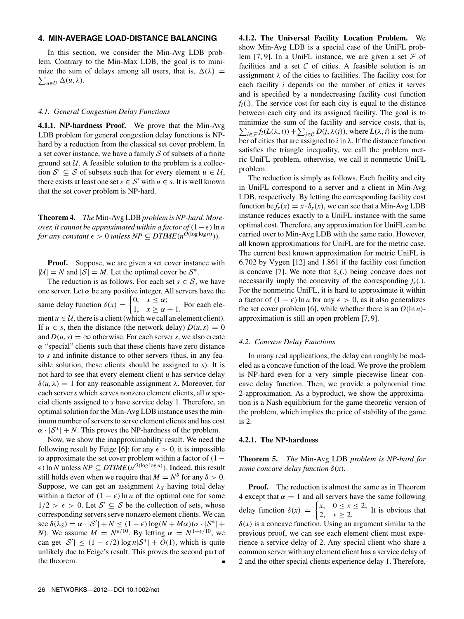#### **4. MIN-AVERAGE LOAD-DISTANCE BALANCING**

In this section, we consider the Min-Avg LDB problem. Contrary to the Min-Max LDB, the goal is to mini-  $\sum_{u\in U}\Delta(u,\lambda).$ mize the sum of delays among all users, that is,  $\Delta(\lambda)$  =

### *4.1. General Congestion Delay Functions*

**4.1.1. NP-hardness Proof.** We prove that the Min-Avg LDB problem for general congestion delay functions is NPhard by a reduction from the classical set cover problem. In a set cover instance, we have a family  $S$  of subsets of a finite ground set  $U$ . A feasible solution to the problem is a collection  $S' \subseteq S$  of subsets such that for every element  $u \in U$ , there exists at least one set  $s \in S'$  with  $u \in s$ . It is well known that the set cover problem is NP-hard.

**Theorem 4.** *The* Min-Avg LDB*problem is NP-hard. Moreover, it cannot be approximated within a factor of*  $(1 - \epsilon)$  ln *n for any constant*  $\epsilon > 0$  *unless*  $NP \subseteq DTIME(n^{O(\log \log n)}))$ *.* 

**Proof.** Suppose, we are given a set cover instance with  $|U| = N$  and  $|S| = M$ . Let the optimal cover be  $S^*$ .

The reduction is as follows. For each set  $s \in S$ , we have one server. Let  $\alpha$  be any positive integer. All servers have the same delay function  $\delta(x) = \begin{cases} 0, & x \le \alpha; \\ 1, & x \ge \alpha + 1. \end{cases}$  For each element  $u \in U$ , there is a client (which we call an element client). If  $u \in s$ , then the distance (the network delay)  $D(u, s) = 0$ and  $D(u, s) = \infty$  otherwise. For each server *s*, we also create  $\alpha$  "special" clients such that these clients have zero distance to *s* and infinite distance to other servers (thus, in any feasible solution, these clients should be assigned to *s*). It is not hard to see that every element client *u* has service delay  $\delta(u, \lambda) = 1$  for any reasonable assignment  $\lambda$ . Moreover, for each server *s* which serves nonzero element clients, all  $\alpha$  special clients assigned to *s* have service delay 1. Therefore, an optimal solution for the Min-Avg LDB instance uses the minimum number of servers to serve element clients and has cost  $\alpha \cdot |\mathcal{S}^*| + N$ . This proves the NP-hardness of the problem.

Now, we show the inapproximability result. We need the following result by Feige [6]: for any  $\epsilon > 0$ , it is impossible to approximate the set cover problem within a factor of  $(1 \epsilon$ ) ln *N* unless *NP*  $\subseteq$  *DTIME*( $n^{O(\log \log n)}$ ). Indeed, this result still holds even when we require that  $M = N^{\delta}$  for any  $\delta > 0$ . Suppose, we can get an assignment  $\lambda_S$  having total delay within a factor of  $(1 - \epsilon) \ln n$  of the optimal one for some  $1/2 > \epsilon > 0$ . Let  $S' \subseteq S$  be the collection of sets, whose corresponding servers serve nonzero element clients. We can see  $\delta(\lambda_S) = \alpha \cdot |\mathcal{S}'| + N \leq (1 - \epsilon) \log(N + M\alpha)(\alpha \cdot |\mathcal{S}^*| +$ *N*). We assume  $M = N^{\epsilon/10}$ . By letting  $\alpha = N^{1+\epsilon/10}$ , we can get  $|S'| \le (1 - \epsilon/2) \log n |\mathcal{S}^*| + O(1)$ , which is quite unlikely due to Feige's result. This proves the second part of the theorem.

**4.1.2. The Universal Facility Location Problem.** We show Min-Avg LDB is a special case of the UniFL problem [7, 9]. In a UniFL instance, we are given a set  $\mathcal F$  of facilities and a set  $C$  of cities. A feasible solution is an assignment  $\lambda$  of the cities to facilities. The facility cost for each facility *i* depends on the number of cities it serves and is specified by a nondecreasing facility cost function  $f_i(.)$ . The service cost for each city is equal to the distance between each city and its assigned facility. The goal is to minimize the sum of the facility and service costs, that is,  $\sum_{i \in \mathcal{F}} f_i(L(\lambda, i)) + \sum_{j \in \mathcal{C}} D(j, \lambda(j))$ , where  $L(\lambda, i)$  is the number of cities that are assigned to  $i$  in  $\lambda$ . If the distance function satisfies the triangle inequality, we call the problem metric UniFL problem, otherwise, we call it nonmetric UniFL problem.

The reduction is simply as follows. Each facility and city in UniFL correspond to a server and a client in Min-Avg LDB, respectively. By letting the corresponding facility cost function be  $f_s(x) = x \cdot \delta_s(x)$ , we can see that a Min-Avg LDB instance reduces exactly to a UniFL instance with the same optimal cost. Therefore, any approximation for UniFL can be carried over to Min-Avg LDB with the same ratio. However, all known approximations for UniFL are for the metric case. The current best known approximation for metric UniFL is 6.702 by Vygen [12] and 1.861 if the facility cost function is concave [7]. We note that  $\delta_s(.)$  being concave does not necessarily imply the concavity of the corresponding  $f_s(.)$ . For the nonmetric UniFL, it is hard to approximate it within a factor of  $(1 - \epsilon) \ln n$  for any  $\epsilon > 0$ , as it also generalizes the set cover problem [6], while whether there is an  $O(\ln n)$ approximation is still an open problem [7, 9].

#### *4.2. Concave Delay Functions*

In many real applications, the delay can roughly be modeled as a concave function of the load. We prove the problem is NP-hard even for a very simple piecewise linear concave delay function. Then, we provide a polynomial time 2-approximation. As a byproduct, we show the approximation is a Nash equilibrium for the game theoretic version of the problem, which implies the price of stability of the game is 2.

#### **4.2.1. The NP-hardness**

**Theorem 5.** *The* Min-Avg LDB *problem is NP-hard for some concave delay function* δ(*x*)*.*

**Proof.** The reduction is almost the same as in Theorem 4 except that  $\alpha = 1$  and all servers have the same following delay function  $\delta(x) = \begin{cases} x, & 0 \le x \le 2 \\ 2, & x \ge 2 \end{cases}$  It is obvious that  $\delta(x)$  is a concave function. Using an argument similar to the previous proof, we can see each element client must experience a service delay of 2. Any special client who share a common server with any element client has a service delay of 2 and the other special clients experience delay 1. Therefore,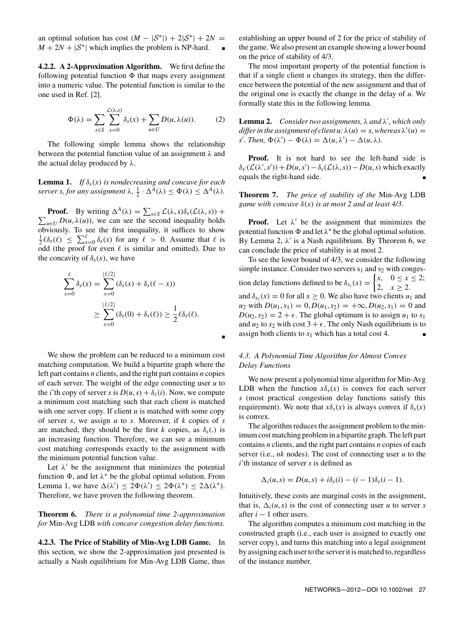an optimal solution has cost  $(M - |\mathcal{S}^*|) + 2|\mathcal{S}^*| + 2N =$  $M + 2N + |\mathcal{S}^*|$  which implies the problem is NP-hard.

**4.2.2. A 2-Approximation Algorithm.** We first define the following potential function  $\Phi$  that maps every assignment into a numeric value. The potential function is similar to the one used in Ref. [2].

$$
\Phi(\lambda) = \sum_{s \in S} \sum_{x=0}^{\mathcal{L}(\lambda, s)} \delta_s(x) + \sum_{u \in U} D(u, \lambda(u)). \tag{2}
$$

The following simple lemma shows the relationship between the potential function value of an assignment  $\lambda$  and the actual delay produced by  $\lambda$ .

**Lemma 1.** *If*  $\delta_s(x)$  *is nondecreasing and concave for each server s, for any assignment*  $\lambda$ ,  $\frac{1}{2} \cdot \Delta^{\overline{A}}(\lambda) \leq \Phi(\lambda) \leq \Delta^A(\lambda)$ .

**Proof.** By writing  $\Delta^A(\lambda) = \sum_{s \in S} \mathcal{L}(\lambda, s) \delta_s(\mathcal{L}(\lambda, s)) + \sum_{u \in I} D(u, \lambda(u))$ , we can see the second inequality holds  $\sum_{u \in U} D(u, \lambda(u))$ , we can see the second inequality holds obviously. To see the first inequality, it suffices to show  $\frac{1}{2} \ell \delta_{s}(\ell) \leq \sum_{x=0}^{\ell} \delta_{s}(x)$  for any  $\ell > 0$ . Assume that  $\ell$  is odd (the proof for even  $\ell$  is similar and omitted). Due to the concavity of  $\delta_s(x)$ , we have

$$
\sum_{x=0}^{\ell} \delta_s(x) = \sum_{x=0}^{\lfloor \ell/2 \rfloor} (\delta_s(x) + \delta_s(\ell - x))
$$
  
 
$$
\geq \sum_{x=0}^{\lfloor \ell/2 \rfloor} (\delta_s(0) + \delta_s(\ell)) \geq \frac{1}{2} \ell \delta_s(\ell).
$$

■

We show the problem can be reduced to a minimum cost matching computation. We build a bipartite graph where the left part contains *n* clients, and the right part contains *n* copies of each server. The weight of the edge connecting user *u* to the *i*'th copy of server *s* is  $D(u, s) + \delta_s(i)$ . Now, we compute a minimum cost matching such that each client is matched with one server copy. If client *u* is matched with some copy of server *s*, we assign *u* to *s*. Moreover, if *k* copies of *s* are matched, they should be the first *k* copies, as  $\delta_s(.)$  is an increasing function. Therefore, we can see a minimum cost matching corresponds exactly to the assignment with the minimum potential function value.

Let  $\lambda'$  be the assignment that minimizes the potential function  $\Phi$ , and let  $\lambda^*$  be the global optimal solution. From Lemma 1, we have  $\Delta(\lambda') \leq 2\Phi(\lambda') \leq 2\Phi(\lambda^*) \leq 2\Delta(\lambda^*).$ Therefore, we have proven the following theorem.

**Theorem 6.** *There is a polynomial time 2-approximation for* Min-Avg LDB *with concave congestion delay functions.*

**4.2.3. The Price of Stability of Min-Avg LDB Game.** In this section, we show the 2-approximation just presented is actually a Nash equilibrium for Min-Avg LDB Game, thus

establishing an upper bound of 2 for the price of stability of the game. We also present an example showing a lower bound on the price of stability of 4/3.

The most important property of the potential function is that if a single client *u* changes its strategy, then the difference between the potential of the new assignment and that of the original one is exactly the change in the delay of *u*. We formally state this in the following lemma.

**Lemma 2.** *Consider two assignments,* λ *and* λ *, which only*  $d$ *iffer in the assignment of client u:*  $\lambda(u) = s$ *, whereas*  $\lambda'(u) =$  $s'.$  Then,  $\Phi(\lambda') - \Phi(\lambda) = \Delta(u, \lambda') - \Delta(u, \lambda).$ 

**Proof.** It is not hard to see the left-hand side is  $\delta_{s'}(\mathcal{L}(\lambda', s')) + D(u, s') - \delta_s(\mathcal{L}(\lambda, s)) - D(u, s)$  which exactly equals the right-hand side.

**Theorem 7.** *The price of stability of the* Min-Avg LDB *game with concave* δ(*x*) *is at most 2 and at least 4/3.*

**Proof.** Let  $\lambda'$  be the assignment that minimizes the potential function  $\Phi$  and let  $\lambda^*$  be the global optimal solution. By Lemma 2,  $\lambda'$  is a Nash equilibrium. By Theorem 6, we can conclude the price of stability is at most 2.

To see the lower bound of 4/3, we consider the following simple instance. Consider two servers  $s_1$  and  $s_2$  with congestion delay functions defined to be  $\delta_{s_1}(x) = \begin{cases} x, & 0 \le x \le 2; \\ 2, & x > 2 \end{cases}$ 2,  $x \ge 2$ . and  $\delta_{s_2}(x) = 0$  for all  $x \ge 0$ . We also have two clients  $u_1$  and  $u_2$  with  $D(u_1, s_1) = 0$ ,  $D(u_1, s_2) = +\infty$ ,  $D(u_2, s_1) = 0$  and  $D(u_2, s_2) = 2 + \epsilon$ . The global optimum is to assign  $u_1$  to  $s_1$ and  $u_2$  to  $s_2$  with cost  $3 + \epsilon$ . The only Nash equilibrium is to assign both clients to  $s_1$  which has a total cost 4.

## *4.3. A Polynomial Time Algorithm for Almost Convex Delay Functions*

We now present a polynomial time algorithm for Min-Avg LDB when the function  $x\delta_s(x)$  is convex for each server *s* (most practical congestion delay functions satisfy this requirement). We note that  $x\delta_s(x)$  is always convex if  $\delta_s(x)$ is convex.

The algorithm reduces the assignment problem to the minimum cost matching problem in a bipartite graph. The left part contains *n* clients, and the right part contains *n* copies of each server (i.e., *nk* nodes). The cost of connecting user *u* to the *i*'th instance of server *s* is defined as

$$
\Delta_i(u,s) = D(u,s) + i\delta_s(i) - (i-1)\delta_s(i-1).
$$

Intuitively, these costs are marginal costs in the assignment, that is,  $\Delta_i(u, s)$  is the cost of connecting user *u* to server *s* after  $i - 1$  other users.

The algorithm computes a minimum cost matching in the constructed graph (i.e., each user is assigned to exactly one server copy), and turns this matching into a legal assignment by assigning each user to the server it is matched to, regardless of the instance number.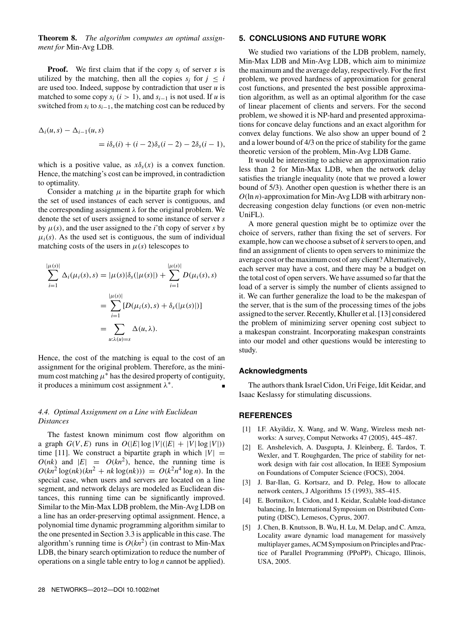**Theorem 8.** *The algorithm computes an optimal assignment for* Min-Avg LDB*.*

**Proof.** We first claim that if the copy  $s_i$  of server *s* is utilized by the matching, then all the copies  $s_i$  for  $j \leq i$ are used too. Indeed, suppose by contradiction that user *u* is matched to some copy  $s_i$  ( $i > 1$ ), and  $s_{i-1}$  is not used. If *u* is switched from  $s_i$  to  $s_{i-1}$ , the matching cost can be reduced by

$$
\Delta_i(u,s) - \Delta_{i-1}(u,s) = i\delta_s(i) + (i-2)\delta_s(i-2) - 2\delta_s(i-1),
$$

which is a positive value, as  $x\delta_{s}(x)$  is a convex function. Hence, the matching's cost can be improved, in contradiction to optimality.

Consider a matching  $\mu$  in the bipartite graph for which the set of used instances of each server is contiguous, and the corresponding assignment  $\lambda$  for the original problem. We denote the set of users assigned to some instance of server *s* by  $\mu(s)$ , and the user assigned to the *i*'th copy of server *s* by  $\mu_i(s)$ . As the used set is contiguous, the sum of individual matching costs of the users in  $\mu(s)$  telescopes to

$$
\sum_{i=1}^{|\mu(s)|} \Delta_i(\mu_i(s), s) = |\mu(s)| \delta_s(|\mu(s)|) + \sum_{i=1}^{|\mu(s)|} D(\mu_i(s), s)
$$
  
= 
$$
\sum_{i=1}^{|\mu(s)|} [D(\mu_i(s), s) + \delta_s(|\mu(s)|)]
$$
  
= 
$$
\sum_{\mu:\lambda(u)=s} \Delta(u, \lambda).
$$

Hence, the cost of the matching is equal to the cost of an assignment for the original problem. Therefore, as the minimum cost matching  $\mu^*$  has the desired property of contiguity, it produces a minimum cost assignment  $\lambda^*$ .

## *4.4. Optimal Assignment on a Line with Euclidean Distances*

The fastest known minimum cost flow algorithm on a graph  $G(V, E)$  runs in  $O(|E| \log |V|(|E| + |V| \log |V|))$ time [11]. We construct a bipartite graph in which  $|V|$  =  $O(nk)$  and  $|E| = O(kn^2)$ , hence, the running time is  $O(kn^2 \log(nk)(kn^2 + nk \log(nk))) = O(k^2n^4 \log n)$ . In the special case, when users and servers are located on a line segment, and network delays are modeled as Euclidean distances, this running time can be significantly improved. Similar to the Min-Max LDB problem, the Min-Avg LDB on a line has an order-preserving optimal assignment. Hence, a polynomial time dynamic programming algorithm similar to the one presented in Section 3.3 is applicable in this case. The algorithm's running time is  $O(kn^2)$  (in contrast to Min-Max LDB, the binary search optimization to reduce the number of operations on a single table entry to log *n* cannot be applied).

## **5. CONCLUSIONS AND FUTURE WORK**

We studied two variations of the LDB problem, namely, Min-Max LDB and Min-Avg LDB, which aim to minimize the maximum and the average delay, respectively. For the first problem, we proved hardness of approximation for general cost functions, and presented the best possible approximation algorithm, as well as an optimal algorithm for the case of linear placement of clients and servers. For the second problem, we showed it is NP-hard and presented approximations for concave delay functions and an exact algorithm for convex delay functions. We also show an upper bound of 2 and a lower bound of 4/3 on the price of stability for the game theoretic version of the problem, Min-Avg LDB Game.

It would be interesting to achieve an approximation ratio less than 2 for Min-Max LDB, when the network delay satisfies the triangle inequality (note that we proved a lower bound of 5/3). Another open question is whether there is an *O*(ln *n*)-approximation for Min-Avg LDB with arbitrary nondecreasing congestion delay functions (or even non-metric UniFL).

A more general question might be to optimize over the choice of servers, rather than fixing the set of servers. For example, how can we choose a subset of *k* servers to open, and find an assignment of clients to open servers to minimize the average cost orthe maximum cost of any client? Alternatively, each server may have a cost, and there may be a budget on the total cost of open servers. We have assumed so far that the load of a server is simply the number of clients assigned to it. We can further generalize the load to be the makespan of the server, that is the sum of the processing times of the jobs assigned to the server. Recently, Khuller et al. [13] considered the problem of minimizing server opening cost subject to a makespan constraint. Incorporating makespan constraints into our model and other questions would be interesting to study.

#### **Acknowledgments**

The authors thank Israel Cidon, Uri Feige, Idit Keidar, and Isaac Keslassy for stimulating discussions.

#### **REFERENCES**

- [1] I.F. Akyildiz, X. Wang, and W. Wang, Wireless mesh networks: A survey, Comput Networks 47 (2005), 445–487.
- [2] E. Anshelevich, A. Dasgupta, J. Kleinberg, É. Tardos, T. Wexler, and T. Roughgarden, The price of stability for network design with fair cost allocation, In IEEE Symposium on Foundations of Computer Science (FOCS), 2004.
- [3] J. Bar-Ilan, G. Kortsarz, and D. Peleg, How to allocate network centers, J Algorithms 15 (1993), 385–415.
- [4] E. Bortnikov, I. Cidon, and I. Keidar, Scalable load-distance balancing, In International Symposium on Distributed Computing (DISC), Lemesos, Cyprus, 2007.
- [5] J. Chen, B. Knutsson, B. Wu, H. Lu, M. Delap, and C. Amza, Locality aware dynamic load management for massively multiplayer games, ACM Symposium on Principles and Practice of Parallel Programming (PPoPP), Chicago, Illinois, USA, 2005.